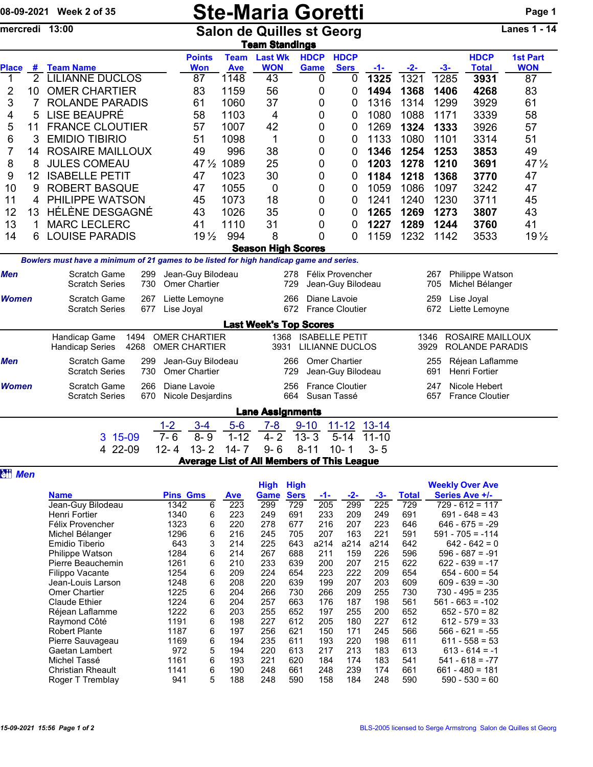|                     |                     | 08-09-2021 Week 2 of 35                                                                                                                            |                                                 |                                                     |                                                         | <b>Ste-Maria Goretti</b>                                  |                                                     |             |                                                       |                                                       |                                            |                                                  |                                                   | Page 1                    |  |
|---------------------|---------------------|----------------------------------------------------------------------------------------------------------------------------------------------------|-------------------------------------------------|-----------------------------------------------------|---------------------------------------------------------|-----------------------------------------------------------|-----------------------------------------------------|-------------|-------------------------------------------------------|-------------------------------------------------------|--------------------------------------------|--------------------------------------------------|---------------------------------------------------|---------------------------|--|
|                     |                     | mercredi 13:00                                                                                                                                     |                                                 |                                                     |                                                         | <b>Salon de Quilles st Georg</b><br><b>Team Standings</b> |                                                     |             |                                                       |                                                       |                                            |                                                  |                                                   | Lanes $1 - \overline{14}$ |  |
|                     |                     |                                                                                                                                                    |                                                 | <b>Points</b>                                       | <b>Team</b>                                             | <b>Last Wk</b>                                            |                                                     | <b>HDCP</b> | <b>HDCP</b>                                           |                                                       |                                            |                                                  | <b>HDCP</b>                                       | <b>1st Part</b>           |  |
| <b>Place</b>        | #<br>$\overline{2}$ | <b>Team Name</b><br><b>LILIANNE DUCLOS</b>                                                                                                         |                                                 | <b>Won</b>                                          | <b>Ave</b>                                              | <b>WON</b><br>43                                          |                                                     | <b>Game</b> | <b>Sers</b>                                           | -1-                                                   | $-2-$<br>1321                              | -3-<br>1285                                      | <b>Total</b>                                      | <b>WON</b>                |  |
| 1<br>2              | 10                  | <b>OMER CHARTIER</b>                                                                                                                               |                                                 | 87<br>83                                            | 1148<br>1159                                            | 56                                                        |                                                     | 0<br>0      | 0<br>0                                                | 1325<br>1494                                          | 1368                                       | 1406                                             | 3931<br>4268                                      | 87<br>83                  |  |
| 3                   | $\overline{7}$      | <b>ROLANDE PARADIS</b>                                                                                                                             |                                                 | 61                                                  | 1060                                                    | 37                                                        |                                                     | 0           | 0                                                     | 1316                                                  | 1314                                       | 1299                                             | 3929                                              | 61                        |  |
| 4                   | 5                   | <b>LISE BEAUPRÉ</b>                                                                                                                                |                                                 | 58                                                  | 1103                                                    | 4                                                         |                                                     | 0           | 0                                                     | 1080                                                  | 1088                                       | 1171                                             | 3339                                              | 58                        |  |
| 5                   | 11                  | <b>FRANCE CLOUTIER</b>                                                                                                                             |                                                 | 57                                                  | 1007                                                    | 42                                                        |                                                     | 0           | 0                                                     | 1269                                                  | 1324                                       | 1333                                             | 3926                                              | 57                        |  |
| 6                   | 3                   | <b>EMIDIO TIBIRIO</b>                                                                                                                              |                                                 | 51                                                  | 1098                                                    | 1                                                         |                                                     | 0           | 0                                                     | 1133                                                  | 1080                                       | 1101                                             | 3314                                              | 51                        |  |
| $\overline{7}$      | 14                  | <b>ROSAIRE MAILLOUX</b>                                                                                                                            |                                                 | 49                                                  | 996                                                     | 38                                                        |                                                     | 0           | 0                                                     | 1346                                                  | 1254                                       | 1253                                             | 3853                                              | 49                        |  |
| 8                   | 8                   | <b>JULES COMEAU</b>                                                                                                                                |                                                 | $47\frac{1}{2}$                                     | 1089                                                    | 25                                                        |                                                     | 0           | 0                                                     | 1203                                                  | 1278                                       | 1210                                             | 3691                                              | $47\frac{1}{2}$           |  |
| 9                   | 12                  | <b>ISABELLE PETIT</b>                                                                                                                              |                                                 | 47                                                  | 1023                                                    | 30                                                        |                                                     | 0           | 0                                                     | 1184                                                  | 1218                                       | 1368                                             | 3770                                              | 47                        |  |
| 10                  | 9                   | <b>ROBERT BASQUE</b>                                                                                                                               |                                                 | 47                                                  | 1055                                                    | 0                                                         |                                                     | 0           | 0                                                     | 1059                                                  | 1086                                       | 1097                                             | 3242                                              | 47                        |  |
| 11                  |                     | PHILIPPE WATSON                                                                                                                                    |                                                 | 45                                                  | 1073                                                    | 18                                                        |                                                     | 0           | 0                                                     | 1241                                                  | 1240                                       | 1230                                             | 3711                                              | 45                        |  |
| 12                  | 13                  | HÉLÈNE DESGAGNÉ                                                                                                                                    |                                                 | 43                                                  | 1026                                                    | 35                                                        |                                                     | 0           | 0                                                     | 1265                                                  | 1269                                       | 1273                                             | 3807                                              | 43                        |  |
| 13                  |                     | <b>MARC LECLERC</b>                                                                                                                                |                                                 | 41                                                  | 1110                                                    | 31                                                        |                                                     | 0           | 0                                                     | 1227                                                  | 1289                                       | 1244                                             | 3760                                              | 41                        |  |
| 14                  | 6                   | <b>LOUISE PARADIS</b>                                                                                                                              |                                                 | 19 <sub>2</sub>                                     | 994                                                     | 8                                                         |                                                     | 0           | 0                                                     | 1159                                                  | 1232                                       | 1142                                             | 3533                                              | 19 <sub>2</sub>           |  |
|                     |                     |                                                                                                                                                    |                                                 |                                                     |                                                         | <b>Season High Scores</b>                                 |                                                     |             |                                                       |                                                       |                                            |                                                  |                                                   |                           |  |
|                     |                     | Bowlers must have a minimum of 21 games to be listed for high handicap game and series.                                                            |                                                 |                                                     |                                                         |                                                           |                                                     |             |                                                       |                                                       |                                            |                                                  |                                                   |                           |  |
| Men<br><b>Women</b> |                     | Scratch Game<br>299<br>Jean-Guy Bilodeau<br><b>Scratch Series</b><br>730<br><b>Omer Chartier</b>                                                   |                                                 |                                                     |                                                         |                                                           | 278<br>Félix Provencher<br>729<br>Jean-Guy Bilodeau |             |                                                       |                                                       |                                            | Philippe Watson<br>267<br>Michel Bélanger<br>705 |                                                   |                           |  |
|                     |                     | <b>Scratch Game</b><br>Diane Lavoie<br>267<br>Liette Lemoyne<br>266<br>672<br><b>France Cloutier</b><br><b>Scratch Series</b><br>677<br>Lise Joyal |                                                 |                                                     |                                                         |                                                           |                                                     |             |                                                       |                                                       | Lise Joyal<br>259<br>672<br>Liette Lemoyne |                                                  |                                                   |                           |  |
|                     |                     |                                                                                                                                                    |                                                 |                                                     |                                                         | <b>Last Week's Top Scores</b>                             |                                                     |             |                                                       |                                                       |                                            |                                                  |                                                   |                           |  |
|                     |                     | Handicap Game<br>1494<br><b>Handicap Series</b><br>4268                                                                                            |                                                 | <b>OMER CHARTIER</b><br><b>OMER CHARTIER</b>        |                                                         | 1368<br>3931                                              |                                                     |             | <b>ISABELLE PETIT</b><br>LILIANNE DUCLOS              |                                                       |                                            | 1346<br>3929                                     | <b>ROSAIRE MAILLOUX</b><br><b>ROLANDE PARADIS</b> |                           |  |
| Men                 |                     | Scratch Game<br><b>Scratch Series</b>                                                                                                              | 299<br>730                                      | Jean-Guy Bilodeau<br>Omer Chartier                  | <b>Omer Chartier</b><br>266<br>Jean-Guy Bilodeau<br>729 |                                                           |                                                     |             |                                                       | 255<br>Réjean Laflamme<br><b>Henri Fortier</b><br>691 |                                            |                                                  |                                                   |                           |  |
| Women               |                     | Scratch Game<br><b>Scratch Series</b>                                                                                                              | 266<br>Diane Lavoie<br>670<br>Nicole Desjardins | <b>France Cloutier</b><br>256<br>664<br>Susan Tassé |                                                         |                                                           |                                                     |             | Nicole Hebert<br>247<br>657<br><b>France Cloutier</b> |                                                       |                                            |                                                  |                                                   |                           |  |
|                     |                     |                                                                                                                                                    |                                                 |                                                     |                                                         | <b>Lane Assignments</b>                                   |                                                     |             |                                                       |                                                       |                                            |                                                  |                                                   |                           |  |
|                     |                     |                                                                                                                                                    | $1 - 2$                                         | $3 - 4$                                             | $5-6$                                                   | $7 - 8$                                                   |                                                     | $9 - 10$    | 11-12 13-14                                           |                                                       |                                            |                                                  |                                                   |                           |  |
|                     |                     | $15-09$<br>3                                                                                                                                       | $7 - 6$                                         | $8 - 9$                                             | $1 - 12$                                                | $4 - 2$                                                   |                                                     | $13 - 3$    | $5 - 14$                                              | $11 - 10$                                             |                                            |                                                  |                                                   |                           |  |
|                     |                     | 4 22-09                                                                                                                                            | $12 - 4$                                        | $13 - 2$                                            | $14 - 7$                                                | $9 - 6$                                                   |                                                     | $8 - 11$    | $10 - 1$                                              | $3 - 5$                                               |                                            |                                                  |                                                   |                           |  |
|                     |                     |                                                                                                                                                    |                                                 | Average List of All Members of This League          |                                                         |                                                           |                                                     |             |                                                       |                                                       |                                            |                                                  |                                                   |                           |  |
| <b>att Men</b>      |                     |                                                                                                                                                    |                                                 |                                                     |                                                         | <b>High High</b>                                          |                                                     |             |                                                       |                                                       |                                            |                                                  | <b>Weekly Over Ave</b>                            |                           |  |
|                     |                     | <b>Name</b>                                                                                                                                        |                                                 | <b>Pins Gms</b>                                     | <u>Ave</u>                                              | Game                                                      | <b>Sers</b>                                         | -1-         | -2-                                                   | $-3-$                                                 | <b>Total</b>                               |                                                  | Series Ave +/-                                    |                           |  |
|                     |                     | Jean-Guy Bilodeau                                                                                                                                  | 1342                                            | 6                                                   | 223                                                     | 299                                                       | 729                                                 | 205         | 299                                                   | 225                                                   | 729                                        |                                                  | $729 - 612 = 117$                                 |                           |  |
|                     |                     | Henri Fortier                                                                                                                                      | 1340                                            | 6                                                   | 223                                                     | 249                                                       | 691                                                 | 233         | 209                                                   | 249                                                   | 691                                        |                                                  | $691 - 648 = 43$                                  |                           |  |
|                     |                     | Félix Provencher                                                                                                                                   | 1323                                            | 6                                                   | 220                                                     | 278                                                       | 677                                                 | 216         | 207                                                   | 223                                                   | 646                                        |                                                  | $646 - 675 = -29$                                 |                           |  |
|                     |                     | Michel Bélanger<br>Emidio Tiberio                                                                                                                  | 1296<br>643                                     | 6<br>3                                              | 216<br>214                                              | 245<br>225                                                | 705<br>643                                          | 207<br>a214 | 163<br>a214                                           | 221<br>a214                                           | 591<br>642                                 |                                                  | $591 - 705 = -114$<br>$642 - 642 = 0$             |                           |  |
|                     |                     | Philippe Watson                                                                                                                                    | 1284                                            | 6                                                   | 214                                                     | 267                                                       | 688                                                 | 211         | 159                                                   | 226                                                   | 596                                        |                                                  | $596 - 687 = -91$                                 |                           |  |
|                     |                     | Pierre Beauchemin                                                                                                                                  | 1261                                            | 6                                                   | 210                                                     | 233                                                       | 639                                                 | 200         | 207                                                   | 215                                                   | 622                                        |                                                  | $622 - 639 = -17$                                 |                           |  |
|                     |                     | Filippo Vacante                                                                                                                                    | 1254                                            | 6                                                   | 209                                                     | 224                                                       | 654                                                 | 223         | 222                                                   | 209                                                   | 654                                        |                                                  | $654 - 600 = 54$                                  |                           |  |
|                     |                     | Jean-Louis Larson                                                                                                                                  | 1248                                            | 6                                                   | 208                                                     | 220                                                       | 639                                                 | 199         | 207                                                   | 203                                                   | 609                                        |                                                  | $609 - 639 = -30$                                 |                           |  |
|                     |                     | <b>Omer Chartier</b><br>Claude Ethier                                                                                                              | 1225<br>1224                                    | 6<br>6                                              | 204<br>204                                              | 266<br>257                                                | 730<br>663                                          | 266<br>176  | 209<br>187                                            | 255<br>198                                            | 730<br>561                                 |                                                  | $730 - 495 = 235$<br>$561 - 663 = -102$           |                           |  |
|                     |                     | Réjean Laflamme                                                                                                                                    | 1222                                            | 6                                                   | 203                                                     | 255                                                       | 652                                                 | 197         | 255                                                   | 200                                                   | 652                                        |                                                  | $652 - 570 = 82$                                  |                           |  |
|                     |                     | Raymond Côté                                                                                                                                       | 1191                                            | 6                                                   | 198                                                     | 227                                                       | 612                                                 | 205         | 180                                                   | 227                                                   | 612                                        |                                                  | $612 - 579 = 33$                                  |                           |  |
|                     |                     | <b>Robert Plante</b>                                                                                                                               | 1187                                            | 6                                                   | 197                                                     | 256                                                       | 621                                                 | 150         | 171                                                   | 245                                                   | 566                                        |                                                  | $566 - 621 = -55$                                 |                           |  |
|                     |                     | Pierre Sauvageau                                                                                                                                   | 1169<br>972                                     | 6<br>5                                              | 194<br>194                                              | 235<br>220                                                | 611                                                 | 193         | 220                                                   | 198<br>183                                            | 611                                        |                                                  | $611 - 558 = 53$                                  |                           |  |
|                     |                     | Gaetan Lambert                                                                                                                                     |                                                 |                                                     |                                                         |                                                           | 613                                                 | 217         | 213                                                   |                                                       | 613                                        |                                                  | $613 - 614 = -1$                                  |                           |  |

Gaetan Lambert 972 5 194 220 613 217 213 183 613 613 - 614 = -1

Christian Rheault 1141 6 190 248 661 248 239 174<br>
Roger T Tremblay 1941 5 188 248 590 158 184 248

Michel Tassé 1161 6 193 221 620 184 174 183 541 541 - 618 = -77

Roger T Tremblay